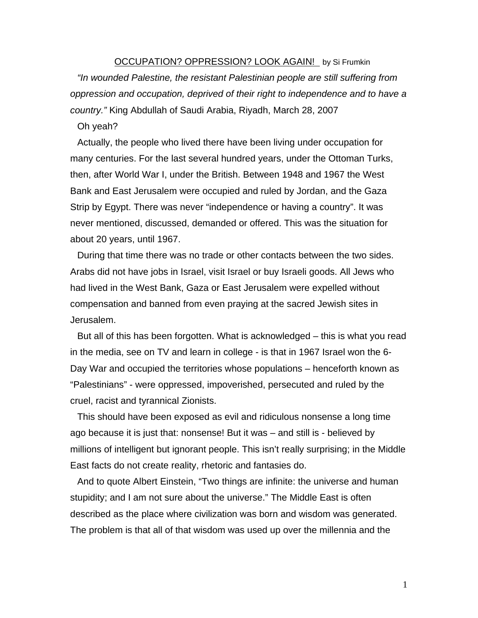## OCCUPATION? OPPRESSION? LOOK AGAIN! by Si Frumkin *"In wounded Palestine, the resistant Palestinian people are still suffering from oppression and occupation, deprived of their right to independence and to have a country."* King Abdullah of Saudi Arabia, Riyadh, March 28, 2007

Oh yeah?

Actually, the people who lived there have been living under occupation for many centuries. For the last several hundred years, under the Ottoman Turks, then, after World War I, under the British. Between 1948 and 1967 the West Bank and East Jerusalem were occupied and ruled by Jordan, and the Gaza Strip by Egypt. There was never "independence or having a country". It was never mentioned, discussed, demanded or offered. This was the situation for about 20 years, until 1967.

During that time there was no trade or other contacts between the two sides. Arabs did not have jobs in Israel, visit Israel or buy Israeli goods. All Jews who had lived in the West Bank, Gaza or East Jerusalem were expelled without compensation and banned from even praying at the sacred Jewish sites in Jerusalem.

But all of this has been forgotten. What is acknowledged – this is what you read in the media, see on TV and learn in college - is that in 1967 Israel won the 6- Day War and occupied the territories whose populations – henceforth known as "Palestinians" - were oppressed, impoverished, persecuted and ruled by the cruel, racist and tyrannical Zionists.

This should have been exposed as evil and ridiculous nonsense a long time ago because it is just that: nonsense! But it was – and still is - believed by millions of intelligent but ignorant people. This isn't really surprising; in the Middle East facts do not create reality, rhetoric and fantasies do.

And to quote Albert Einstein, "Two things are infinite: the universe and human stupidity; and I am not sure about the universe." The Middle East is often described as the place where civilization was born and wisdom was generated. The problem is that all of that wisdom was used up over the millennia and the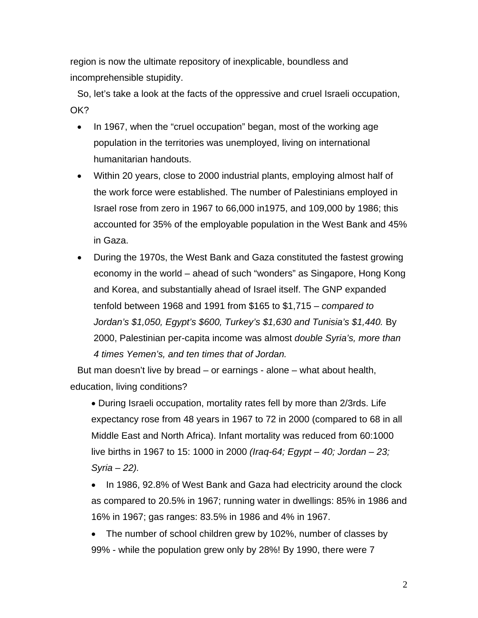region is now the ultimate repository of inexplicable, boundless and incomprehensible stupidity.

So, let's take a look at the facts of the oppressive and cruel Israeli occupation, OK?

- In 1967, when the "cruel occupation" began, most of the working age population in the territories was unemployed, living on international humanitarian handouts.
- Within 20 years, close to 2000 industrial plants, employing almost half of the work force were established. The number of Palestinians employed in Israel rose from zero in 1967 to 66,000 in1975, and 109,000 by 1986; this accounted for 35% of the employable population in the West Bank and 45% in Gaza.
- During the 1970s, the West Bank and Gaza constituted the fastest growing economy in the world – ahead of such "wonders" as Singapore, Hong Kong and Korea, and substantially ahead of Israel itself. The GNP expanded tenfold between 1968 and 1991 from \$165 to \$1,715 – *compared to Jordan's \$1,050, Egypt's \$600, Turkey's \$1,630 and Tunisia's \$1,440.* By 2000, Palestinian per-capita income was almost *double Syria's, more than 4 times Yemen's, and ten times that of Jordan.*

But man doesn't live by bread – or earnings - alone – what about health, education, living conditions?

• During Israeli occupation, mortality rates fell by more than 2/3rds. Life expectancy rose from 48 years in 1967 to 72 in 2000 (compared to 68 in all Middle East and North Africa). Infant mortality was reduced from 60:1000 live births in 1967 to 15: 1000 in 2000 *(Iraq-64; Egypt – 40; Jordan – 23; Syria – 22).* 

• In 1986, 92.8% of West Bank and Gaza had electricity around the clock as compared to 20.5% in 1967; running water in dwellings: 85% in 1986 and 16% in 1967; gas ranges: 83.5% in 1986 and 4% in 1967.

• The number of school children grew by 102%, number of classes by 99% - while the population grew only by 28%! By 1990, there were 7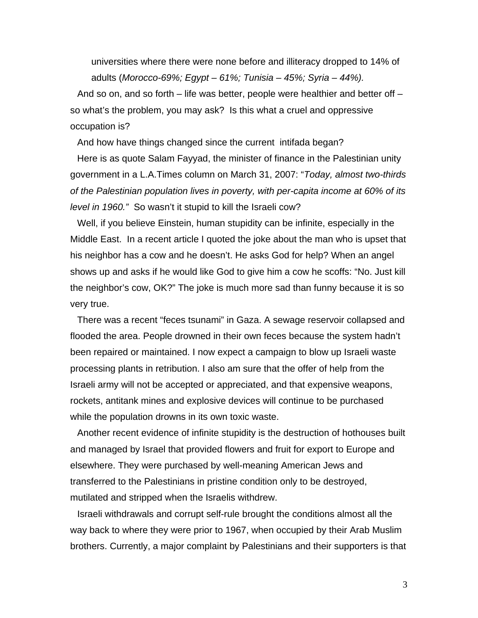universities where there were none before and illiteracy dropped to 14% of adults (*Morocco-69%; Egypt – 61%; Tunisia – 45%; Syria – 44%).* 

And so on, and so forth – life was better, people were healthier and better off – so what's the problem, you may ask? Is this what a cruel and oppressive occupation is?

And how have things changed since the current intifada began?

Here is as quote Salam Fayyad, the minister of finance in the Palestinian unity government in a L.A.Times column on March 31, 2007: "*Today, almost two-thirds of the Palestinian population lives in poverty, with per-capita income at 60% of its level in 1960."* So wasn't it stupid to kill the Israeli cow?

Well, if you believe Einstein, human stupidity can be infinite, especially in the Middle East. In a recent article I quoted the joke about the man who is upset that his neighbor has a cow and he doesn't. He asks God for help? When an angel shows up and asks if he would like God to give him a cow he scoffs: "No. Just kill the neighbor's cow, OK?" The joke is much more sad than funny because it is so very true.

There was a recent "feces tsunami" in Gaza. A sewage reservoir collapsed and flooded the area. People drowned in their own feces because the system hadn't been repaired or maintained. I now expect a campaign to blow up Israeli waste processing plants in retribution. I also am sure that the offer of help from the Israeli army will not be accepted or appreciated, and that expensive weapons, rockets, antitank mines and explosive devices will continue to be purchased while the population drowns in its own toxic waste.

Another recent evidence of infinite stupidity is the destruction of hothouses built and managed by Israel that provided flowers and fruit for export to Europe and elsewhere. They were purchased by well-meaning American Jews and transferred to the Palestinians in pristine condition only to be destroyed, mutilated and stripped when the Israelis withdrew.

Israeli withdrawals and corrupt self-rule brought the conditions almost all the way back to where they were prior to 1967, when occupied by their Arab Muslim brothers. Currently, a major complaint by Palestinians and their supporters is that